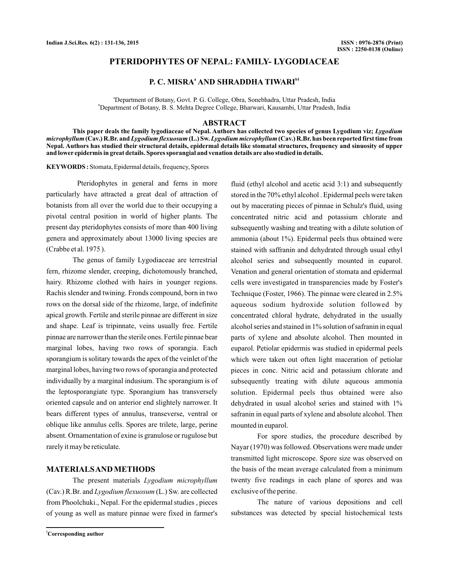# **PTERIDOPHYTES OF NEPAL: FAMILY- LYGODIACEAE**

# **P. C. MISRA<sup>ª</sup> AND SHRADDHA TIWARI<sup>b1</sup>**

a Department of Botany, Govt. P. G. College, Obra, Sonebhadra, Uttar Pradesh, India b Department of Botany, B. S. Mehta Degree College, Bharwari, Kausambi, Uttar Pradesh, India

#### **ABSTRACT**

**This paper deals the family lygodiaceae of Nepal. Authors has collected two species of genus Lygodium viz;** *Lygodium* microphyllum (Cav.) R.Br. and *Lygodium flexuosum* (L.) Sw. *Lygodium microphyllum* (Cav.) R.Br. has been reported first time from **Nepal. Authors has studied their structural details, epidermal details like stomatal structures, frequency and sinuosity of upper and lower epidermis in great details. Spores sporangial and venation details are also studied in details.**

**KEYWORDS :** Stomata, Epidermal details, frequency, Spores

Pteridophytes in general and ferns in more particularly have attracted a great deal of attraction of botanists from all over the world due to their occupying a pivotal central position in world of higher plants. The present day pteridophytes consists of more than 400 living genera and approximately about 13000 living species are (Crabbe et al. 1975 ).

The genus of family Lygodiaceae are terrestrial fern, rhizome slender, creeping, dichotomously branched, hairy. Rhizome clothed with hairs in younger regions. Rachis slender and twining. Fronds compound, born in two rows on the dorsal side of the rhizome, large, of indefinite apical growth. Fertile and sterile pinnae are different in size and shape. Leaf is tripinnate, veins usually free. Fertile pinnae are narrower than the sterile ones. Fertile pinnae bear marginal lobes, having two rows of sporangia. Each sporangium is solitary towards the apex of the veinlet of the marginal lobes, having two rows of sporangia and protected individually by a marginal indusium. The sporangium is of the leptosporangiate type. Sporangium has transversely oriented capsule and on anterior end slightely narrower. It bears different types of annulus, transeverse, ventral or oblique like annulus cells. Spores are trilete, large, perine absent. Ornamentation of exine is granulose or rugulose but rarely it may be reticulate.

## **MATERIALSAND METHODS**

The present materials *Lygodium microphyllum* (Cav.) R.Br. and *Lygodium flexuosum* (L.) Sw. are collected from Phoolchuki., Nepal. For the epidermal studies , pieces of young as well as mature pinnae were fixed in farmer's fluid (ethyl alcohol and acetic acid 3:1) and subsequently stored in the 70% ethyl alcohol . Epidermal peels were taken out by macerating pieces of pinnae in Schulz's fluid, using concentrated nitric acid and potassium chlorate and subsequently washing and treating with a dilute solution of ammonia (about 1%). Epidermal peels thus obtained were stained with saffranin and dehydrated through usual ethyl alcohol series and subsequently mounted in euparol. Venation and general orientation of stomata and epidermal cells were investigated in transparencies made by Foster's Technique (Foster, 1966). The pinnae were cleared in 2.5% aqueous sodium hydroxide solution followed by concentrated chloral hydrate, dehydrated in the usually alcohol series and stained in 1% solution of safranin in equal parts of xylene and absolute alcohol. Then mounted in euparol. Petiolar epidermis was studied in epidermal peels which were taken out often light maceration of petiolar pieces in conc. Nitric acid and potassium chlorate and subsequently treating with dilute aqueous ammonia solution. Epidermal peels thus obtained were also dehydrated in usual alcohol series and stained with 1% safranin in equal parts of xylene and absolute alcohol. Then mounted in euparol.

For spore studies, the procedure described by Nayar (1970) was followed. Observations were made under transmitted light microscope. Spore size was observed on the basis of the mean average calculated from a minimum twenty five readings in each plane of spores and was exclusive of the perine.

The nature of various depositions and cell substances was detected by special histochemical tests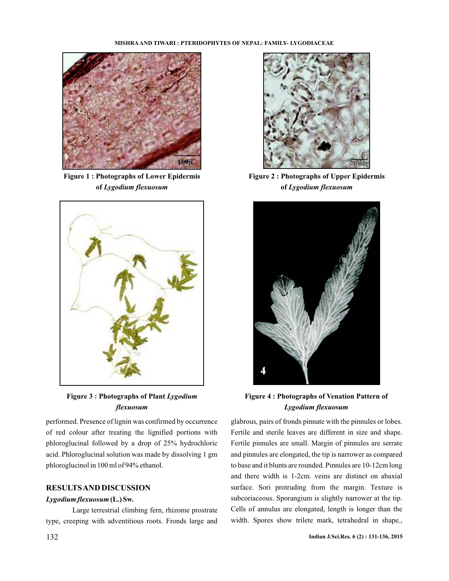#### **MISHRA AND TIWARI : PTERIDOPHYTES OF NEPAL: FAMILY- LYGODIACEAE**



**Figure 1 : Photographs of Lower Epidermis of** *Lygodium flexuosum*



**Figure 3 : Photographs of Plant** *Lygodium flexuosum*

performed. Presence of lignin was confirmed by occurrence of red colour after treating the lignified portions with phloroglucinal followed by a drop of 25% hydrochloric acid. Phloroglucinal solution was made by dissolving 1 gm phloroglucinol in 100 ml of 94% ethanol.

# **RESULTSAND DISCUSSION**

### *Lygodium flexuosum***(L.) Sw.**

Large terrestrial climbing fern, rhizome prostrate type, creeping with adventitious roots. Fronds large and



**Figure 2 : Photographs of Upper Epidermis of** *Lygodium flexuosum*



**Figure 4 : Photographs of Venation Pattern of** *Lygodium flexuosum*

glabrous, pairs of fronds pinnate with the pinnules or lobes. Fertile and sterile leaves are different in size and shape. Fertile pinnules are small. Margin of pinnules are serrate and pinnules are elongated, the tip is narrower as compared to base and it blunts are rounded. Pinnules are 10-12cm long and there width is 1-2cm. veins are distinct on abaxial surface. Sori protruding from the margin. Texture is subcoriaceous. Sporangium is slightly narrower at the tip. Cells of annulus are elongated, length is longer than the width. Spores show trilete mark, tetrahedral in shape.,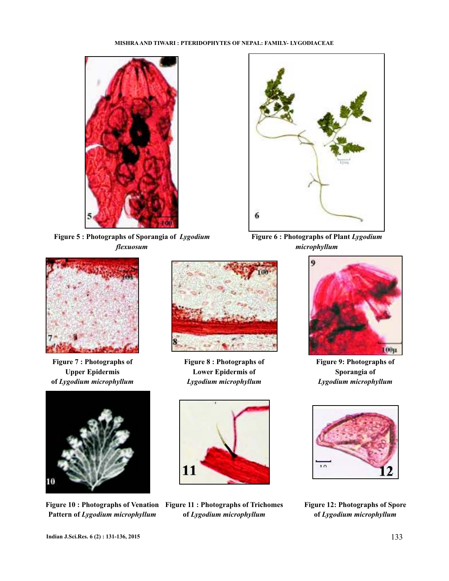### **MISHRA AND TIWARI : PTERIDOPHYTES OF NEPAL: FAMILY- LYGODIACEAE**



**Figure 5 : Photographs of Sporangia of** *Lygodium flexuosum*



**Figure 7 : Photographs of Upper Epidermis of** *Lygodium microphyllum*



**Pattern of** *Lygodium microphyllum*



**Figure 8 : Photographs of Lower Epidermis of** *Lygodium microphyllum*



**Figure 10 : Photographs of Venation Figure 11 : Photographs of Trichomes of** *Lygodium microphyllum*



**Figure 6 : Photographs of Plant** *Lygodium microphyllum*



**Figure 9: Photographs of Sporangia of** *Lygodium microphyllum*



**Figure 12: Photographs of Spore of** *Lygodium microphyllum*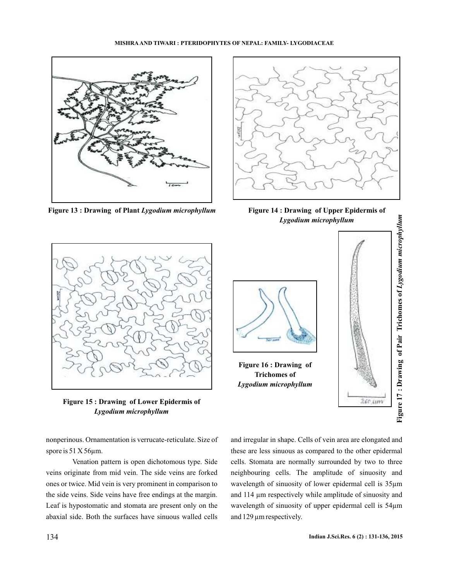### **MISHRA AND TIWARI : PTERIDOPHYTES OF NEPAL: FAMILY- LYGODIACEAE**



**Figure 13 : Drawing of Plant** *Lygodium microphyllum* **Figure 14 : Drawing of Upper Epidermis of**



*Lygodium microphyllum*



**Figure 15 : Drawing of Lower Epidermis of** *Lygodium microphyllum*

nonperinous. Ornamentation is verrucate-reticulate. Size of spore is 51 X 56 $\mu$ m.

Venation pattern is open dichotomous type. Side veins originate from mid vein. The side veins are forked ones or twice. Mid vein is very prominent in comparison to the side veins. Side veins have free endings at the margin. Leaf is hypostomatic and stomata are present only on the abaxial side. Both the surfaces have sinuous walled cells



and irregular in shape. Cells of vein area are elongated and these are less sinuous as compared to the other epidermal cells. Stomata are normally surrounded by two to three neighbouring cells. The amplitude of sinuosity and wavelength of sinuosity of lower epidermal cell is 35µm and 114 µm respectively while amplitude of sinuosity and wavelength of sinuosity of upper epidermal cell is 54µm and 129 µm respectively.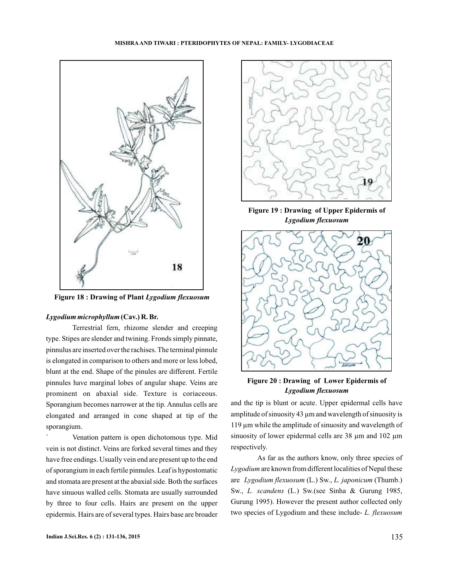

**Figure 18 : Drawing of Plant** *Lygodium flexuosum*

## *Lygodium microphyllum***(Cav.) R. Br.**

Terrestrial fern, rhizome slender and creeping type. Stipes are slender and twining. Fronds simply pinnate, pinnulus are inserted over the rachises. The terminal pinnule is elongated in comparison to others and more or less lobed, blunt at the end. Shape of the pinules are different. Fertile pinnules have marginal lobes of angular shape. Veins are prominent on abaxial side. Texture is coriaceous. Sporangium becomes narrower at the tip. Annulus cells are elongated and arranged in cone shaped at tip of the sporangium.

` Venation pattern is open dichotomous type. Mid vein is not distinct. Veins are forked several times and they have free endings. Usually vein end are present up to the end of sporangium in each fertile pinnules. Leaf is hypostomatic and stomata are present at the abaxial side. Both the surfaces have sinuous walled cells. Stomata are usually surrounded by three to four cells. Hairs are present on the upper epidermis. Hairs are of several types. Hairs base are broader



**Figure 19 : Drawing of Upper Epidermis of** *Lygodium flexuosum*



**Figure 20 : Drawing of Lower Epidermis of** *Lygodium flexuosum*

and the tip is blunt or acute. Upper epidermal cells have amplitude of sinuosity 43  $\mu$ m and wavelength of sinuosity is 119 µm while the amplitude of sinuosity and wavelength of sinuosity of lower epidermal cells are 38  $\mu$ m and 102  $\mu$ m respectively.

As far as the authors know, only three species of Lygodium are known from different localities of Nepal these are Lygodium flexuosum (L.) Sw., L. japonicum (Thumb.) Sw., L. scandens (L.) Sw.(see Sinha & Gurung 1985, Gurung 1995). However the present author collected only two species of Lygodium and these include-*L. flexuosum*